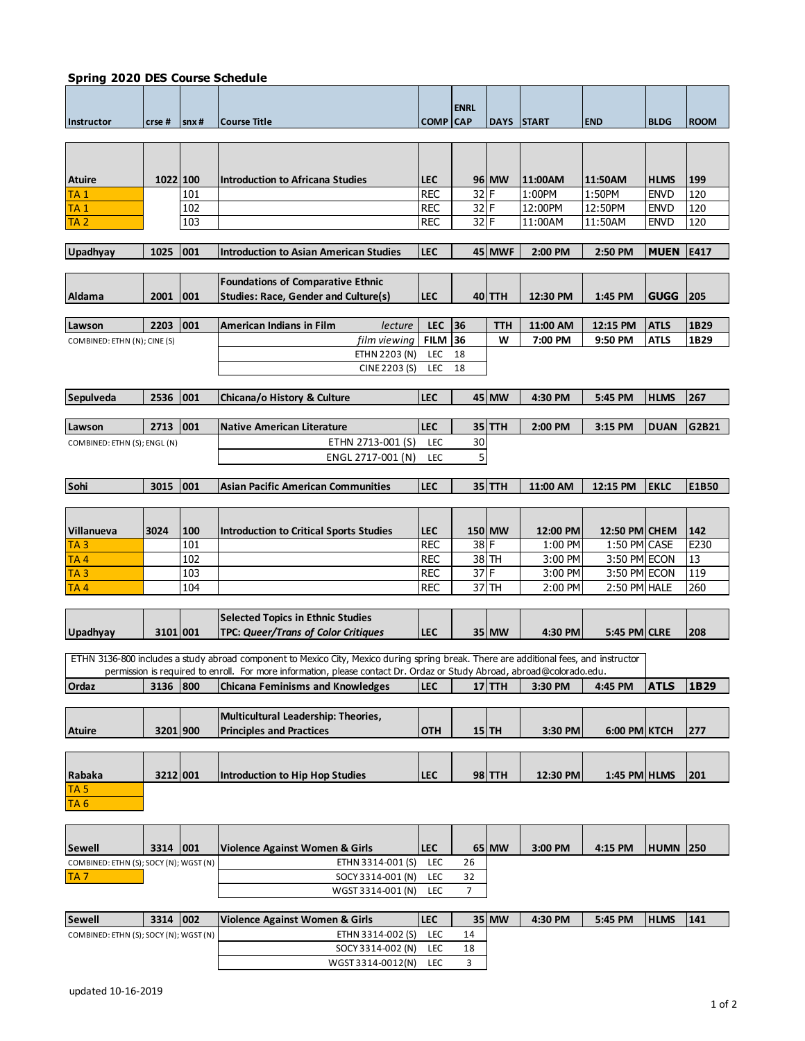| <b>Spring 2020 DES Course Schedule</b> |            |      |                                                                                                                                       |                 |             |                   |          |                     |                 |             |
|----------------------------------------|------------|------|---------------------------------------------------------------------------------------------------------------------------------------|-----------------|-------------|-------------------|----------|---------------------|-----------------|-------------|
|                                        |            |      |                                                                                                                                       |                 |             |                   |          |                     |                 |             |
|                                        |            |      |                                                                                                                                       |                 | <b>ENRL</b> |                   |          |                     |                 |             |
| Instructor                             | crse#      | snx# | <b>Course Title</b>                                                                                                                   | <b>COMP CAP</b> |             | <b>DAYS START</b> |          | <b>END</b>          | <b>BLDG</b>     | <b>ROOM</b> |
|                                        |            |      |                                                                                                                                       |                 |             |                   |          |                     |                 |             |
|                                        |            |      |                                                                                                                                       |                 |             |                   |          |                     |                 |             |
|                                        |            |      |                                                                                                                                       |                 |             |                   |          |                     |                 |             |
| <b>Atuire</b>                          | 1022 100   |      | <b>Introduction to Africana Studies</b>                                                                                               | <b>LEC</b>      |             | 96 MW             | 11:00AM  | 11:50AM             | <b>HLMS</b>     | 199         |
| TA 1                                   |            | 101  |                                                                                                                                       | <b>REC</b>      | 32 F        |                   | 1:00PM   | 1:50PM              | <b>ENVD</b>     | 120         |
| <b>TA1</b>                             |            | 102  |                                                                                                                                       | <b>REC</b>      | $32$ F      |                   | 12:00PM  | 12:50PM             | <b>ENVD</b>     | 120         |
| TA <sub>2</sub>                        |            | 103  |                                                                                                                                       | <b>REC</b>      | $32$ F      |                   | 11:00AM  | 11:50AM             | <b>ENVD</b>     | 120         |
|                                        |            |      |                                                                                                                                       |                 |             |                   |          |                     |                 |             |
|                                        |            |      |                                                                                                                                       |                 |             |                   |          |                     |                 |             |
| <b>Upadhyay</b>                        | 1025       | 001  | <b>Introduction to Asian American Studies</b>                                                                                         | <b>LEC</b>      |             | 45 MWF            | 2:00 PM  | 2:50 PM             | <b>MUEN</b>     | E417        |
|                                        |            |      |                                                                                                                                       |                 |             |                   |          |                     |                 |             |
|                                        |            |      | <b>Foundations of Comparative Ethnic</b>                                                                                              |                 |             |                   |          |                     |                 |             |
| Aldama                                 | 2001       | 001  | <b>Studies: Race, Gender and Culture(s)</b>                                                                                           | <b>LEC</b>      |             | 40 TTH            | 12:30 PM | 1:45 PM             | <b>GUGG</b>     | 205         |
|                                        |            |      |                                                                                                                                       |                 |             |                   |          |                     |                 |             |
| Lawson                                 | 2203       | 001  | <b>American Indians in Film</b><br>lecture                                                                                            | <b>LEC</b>      | <b>36</b>   | ттн               | 11:00 AM | 12:15 PM            | <b>ATLS</b>     | 1B29        |
| COMBINED: ETHN (N); CINE (S)           |            |      | film viewing                                                                                                                          | <b>FILM 36</b>  |             | W                 | 7:00 PM  | 9:50 PM             | <b>ATLS</b>     | 1B29        |
|                                        |            |      | ETHN 2203 (N)                                                                                                                         | LEC             | 18          |                   |          |                     |                 |             |
|                                        |            |      | CINE 2203 (S)                                                                                                                         | <b>LEC</b>      | 18          |                   |          |                     |                 |             |
|                                        |            |      |                                                                                                                                       |                 |             |                   |          |                     |                 |             |
| Sepulveda                              | 2536       | 001  | Chicana/o History & Culture                                                                                                           | <b>LEC</b>      |             | 45 MW             | 4:30 PM  | 5:45 PM             | <b>HLMS</b>     | 267         |
|                                        |            |      |                                                                                                                                       |                 |             |                   |          |                     |                 |             |
| Lawson                                 | 2713       | 001  | <b>Native American Literature</b>                                                                                                     | <b>LEC</b>      |             | 35 TTH            | 2:00 PM  | 3:15 PM             | <b>DUAN</b>     | G2B21       |
| COMBINED: ETHN (S); ENGL (N)           |            |      | ETHN 2713-001 (S)                                                                                                                     | LEC             | 30          |                   |          |                     |                 |             |
|                                        |            |      | ENGL 2717-001 (N)                                                                                                                     | <b>LEC</b>      | 5           |                   |          |                     |                 |             |
|                                        |            |      |                                                                                                                                       |                 |             |                   |          |                     |                 |             |
| Sohi                                   | 3015       | 001  | <b>Asian Pacific American Communities</b>                                                                                             | <b>LEC</b>      |             | 35 TTH            | 11:00 AM | 12:15 PM            | <b>EKLC</b>     | E1B50       |
|                                        |            |      |                                                                                                                                       |                 |             |                   |          |                     |                 |             |
|                                        |            |      |                                                                                                                                       |                 |             |                   |          |                     |                 |             |
|                                        |            |      |                                                                                                                                       |                 |             |                   |          |                     |                 |             |
| Villanueva                             | 3024       | 100  | <b>Introduction to Critical Sports Studies</b>                                                                                        | <b>LEC</b>      |             | 150 MW            | 12:00 PM | 12:50 PM CHEM       |                 | 142         |
| TA <sub>3</sub>                        |            | 101  |                                                                                                                                       | <b>REC</b>      | $38$ F      |                   | 1:00 PM  | 1:50 PM CASE        |                 | E230        |
| TA <sub>4</sub>                        |            | 102  |                                                                                                                                       | <b>REC</b>      |             | 38 TH             | 3:00 PM  | 3:50 PM ECON        |                 | 13          |
| TA <sub>3</sub>                        |            | 103  |                                                                                                                                       | <b>REC</b>      | 37 F        |                   | 3:00 PM  | 3:50 PM ECON        |                 | 119         |
| TA4                                    |            | 104  |                                                                                                                                       | <b>REC</b>      |             | 37 TH             | 2:00 PM  | $2:50$ PM HALE      |                 | 260         |
|                                        |            |      |                                                                                                                                       |                 |             |                   |          |                     |                 |             |
|                                        |            |      | <b>Selected Topics in Ethnic Studies</b>                                                                                              |                 |             |                   |          |                     |                 |             |
| Upadhyay                               | 3101 001   |      | <b>TPC: Queer/Trans of Color Critiques</b>                                                                                            | <b>LEC</b>      |             | 35 MW             | 4:30 PM  | <b>5:45 PM CLRE</b> |                 | 208         |
|                                        |            |      |                                                                                                                                       |                 |             |                   |          |                     |                 |             |
|                                        |            |      | ETHN 3136-800 includes a study abroad component to Mexico City, Mexico during spring break. There are additional fees, and instructor |                 |             |                   |          |                     |                 |             |
|                                        |            |      | permission is required to enroll. For more information, please contact Dr. Ordaz or Study Abroad, abroad@colorado.edu.                |                 |             |                   |          |                     |                 |             |
| Ordaz                                  | 3136 800   |      | <b>Chicana Feminisms and Knowledges</b>                                                                                               | <b>LEC</b>      |             | $17$ TTH          | 3:30 PM  | 4:45 PM             | <b>ATLS</b>     | 1B29        |
|                                        |            |      |                                                                                                                                       |                 |             |                   |          |                     |                 |             |
|                                        |            |      | Multicultural Leadership: Theories,                                                                                                   |                 |             |                   |          |                     |                 |             |
| <b>Atuire</b>                          | 3201 900   |      | <b>Principles and Practices</b>                                                                                                       | <b>OTH</b>      |             | $15$ TH           | 3:30 PM  | 6:00 PM KTCH        |                 | 277         |
|                                        |            |      |                                                                                                                                       |                 |             |                   |          |                     |                 |             |
|                                        |            |      |                                                                                                                                       |                 |             |                   |          |                     |                 |             |
| Rabaka                                 | 3212 001   |      | <b>Introduction to Hip Hop Studies</b>                                                                                                | <b>LEC</b>      |             | 98 TTH            | 12:30 PM | 1:45 PM HLMS        |                 | 201         |
| TA <sub>5</sub>                        |            |      |                                                                                                                                       |                 |             |                   |          |                     |                 |             |
|                                        |            |      |                                                                                                                                       |                 |             |                   |          |                     |                 |             |
| TA <sub>6</sub>                        |            |      |                                                                                                                                       |                 |             |                   |          |                     |                 |             |
|                                        |            |      |                                                                                                                                       |                 |             |                   |          |                     |                 |             |
|                                        |            |      |                                                                                                                                       |                 |             |                   |          |                     |                 |             |
| Sewell                                 | 3314 001   |      | Violence Against Women & Girls                                                                                                        | <b>LEC</b>      |             | 65 MW             | 3:00 PM  | 4:15 PM             | <b>HUMN 250</b> |             |
| COMBINED: ETHN (S); SOCY (N); WGST (N) |            |      | ETHN 3314-001 (S)                                                                                                                     | LEC             | 26          |                   |          |                     |                 |             |
| <b>TA7</b>                             |            |      | SOCY 3314-001 (N)                                                                                                                     | LEC             | 32          |                   |          |                     |                 |             |
|                                        |            |      | WGST 3314-001 (N)                                                                                                                     | LEC             | 7           |                   |          |                     |                 |             |
|                                        |            |      |                                                                                                                                       |                 |             |                   |          |                     |                 |             |
| <b>Sewell</b>                          | 3314   002 |      | Violence Against Women & Girls                                                                                                        | <b>LEC</b>      |             | 35 MW             | 4:30 PM  | 5:45 PM             | <b>HLMS</b>     | 141         |
| COMBINED: ETHN (S); SOCY (N); WGST (N) |            |      | ETHN 3314-002 (S)                                                                                                                     | <b>LEC</b>      | 14          |                   |          |                     |                 |             |
|                                        |            |      | SOCY 3314-002 (N)                                                                                                                     | LEC             | 18          |                   |          |                     |                 |             |

WGST 3314-0012(N) LEC 3